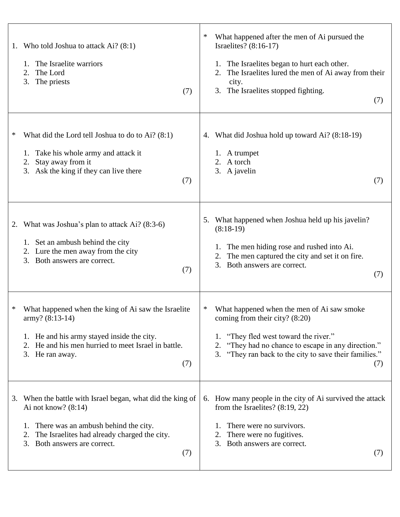| 1. | Who told Joshua to attack Ai? (8:1)<br>The Israelite warriors<br>1.<br>2.<br>The Lord<br>3.<br>The priests<br>(7)                                                                                                              | ∗<br>What happened after the men of Ai pursued the<br>Israelites? (8:16-17)<br>1. The Israelites began to hurt each other.<br>The Israelites lured the men of Ai away from their<br>city.<br>3. The Israelites stopped fighting.<br>(7)                    |  |
|----|--------------------------------------------------------------------------------------------------------------------------------------------------------------------------------------------------------------------------------|------------------------------------------------------------------------------------------------------------------------------------------------------------------------------------------------------------------------------------------------------------|--|
| ∗  | What did the Lord tell Joshua to do to Ai? (8:1)<br>Take his whole army and attack it<br>Stay away from it<br>2.<br>3. Ask the king if they can live there<br>(7)                                                              | What did Joshua hold up toward Ai? (8:18-19)<br>4.<br>1. A trumpet<br>2. A torch<br>3. A javelin<br>(7)                                                                                                                                                    |  |
| 2. | What was Joshua's plan to attack $Ai$ ? (8:3-6)<br>1. Set an ambush behind the city<br>2. Lure the men away from the city<br>3. Both answers are correct.<br>(7)                                                               | What happened when Joshua held up his javelin?<br>5.<br>$(8:18-19)$<br>1. The men hiding rose and rushed into Ai.<br>The men captured the city and set it on fire.<br>2.<br>3. Both answers are correct.<br>(7)                                            |  |
| ∗  | What happened when the king of Ai saw the Israelite<br>$army? (8:13-14)$<br>1. He and his army stayed inside the city.<br>2. He and his men hurried to meet Israel in battle.<br>3. He ran away.<br>(7)                        | What happened when the men of Ai saw smoke<br>∗<br>coming from their city? $(8:20)$<br>"They fled west toward the river."<br>1.<br>"They had no chance to escape in any direction."<br>2.<br>3. "They ran back to the city to save their families."<br>(7) |  |
| 3. | When the battle with Israel began, what did the king of<br>Ai not know? $(8:14)$<br>There was an ambush behind the city.<br>1.<br>The Israelites had already charged the city.<br>2.<br>Both answers are correct.<br>3.<br>(7) | 6. How many people in the city of Ai survived the attack<br>from the Israelites? $(8:19, 22)$<br>There were no survivors.<br>There were no fugitives.<br>3. Both answers are correct.<br>(7)                                                               |  |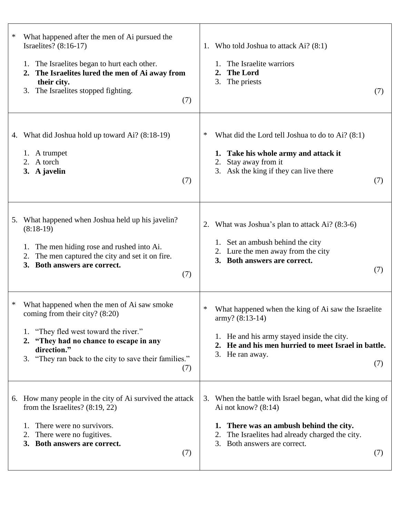| ∗<br>What happened after the men of Ai pursued the<br>Israelites? $(8:16-17)$<br>1. The Israelites began to hurt each other.<br>2. The Israelites lured the men of Ai away from<br>their city.<br>The Israelites stopped fighting.<br>3.<br>(7)          | Who told Joshua to attack Ai? (8:1)<br>1.<br>The Israelite warriors<br><b>The Lord</b><br>2.<br>The priests<br>3.<br>(7)                                                                                                       |
|----------------------------------------------------------------------------------------------------------------------------------------------------------------------------------------------------------------------------------------------------------|--------------------------------------------------------------------------------------------------------------------------------------------------------------------------------------------------------------------------------|
| 4. What did Joshua hold up toward Ai? (8:18-19)<br>1. A trumpet<br>2. A torch<br>3. A javelin<br>(7)                                                                                                                                                     | What did the Lord tell Joshua to do to Ai? (8:1)<br>∗<br>1. Take his whole army and attack it<br>Stay away from it<br>2.<br>3. Ask the king if they can live there<br>(7)                                                      |
| What happened when Joshua held up his javelin?<br>5.<br>$(8:18-19)$<br>The men hiding rose and rushed into Ai.<br>1.<br>The men captured the city and set it on fire.<br>2.<br>3. Both answers are correct.<br>(7)                                       | What was Joshua's plan to attack Ai? (8:3-6)<br>2.<br>1. Set an ambush behind the city<br>2. Lure the men away from the city<br>3. Both answers are correct.<br>(7)                                                            |
| What happened when the men of Ai saw smoke<br>∗<br>coming from their city? (8:20)<br>1. "They fled west toward the river."<br>"They had no chance to escape in any<br>2.<br>direction."<br>3. "They ran back to the city to save their families."<br>(7) | What happened when the king of Ai saw the Israelite<br>∗<br>$\text{army? } (8:13-14)$<br>1. He and his army stayed inside the city.<br>2. He and his men hurried to meet Israel in battle.<br>3. He ran away.<br>(7)           |
| 6. How many people in the city of Ai survived the attack<br>from the Israelites? $(8:19, 22)$<br>There were no survivors.<br>1.<br>There were no fugitives.<br>2.<br>Both answers are correct.<br>3.<br>(7)                                              | 3. When the battle with Israel began, what did the king of<br>Ai not know? $(8:14)$<br>1. There was an ambush behind the city.<br>The Israelites had already charged the city.<br>2.<br>Both answers are correct.<br>3.<br>(7) |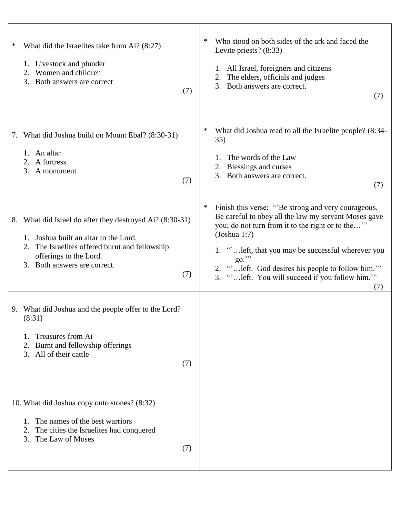| ∗<br>What did the Israelites take from Ai? (8:27)<br>1. Livestock and plunder<br>Women and children<br>2.<br>Both answers are correct<br>3.<br>(7)                                                                         | Who stood on both sides of the ark and faced the<br>∗<br>Levite priests? $(8:33)$<br>All Israel, foreigners and citizens<br>The elders, officials and judges<br>2.<br>3.<br>Both answers are correct.<br>(7)                                                                                                                                                        |
|----------------------------------------------------------------------------------------------------------------------------------------------------------------------------------------------------------------------------|---------------------------------------------------------------------------------------------------------------------------------------------------------------------------------------------------------------------------------------------------------------------------------------------------------------------------------------------------------------------|
| What did Joshua build on Mount Ebal? (8:30-31)<br>7.<br>1. An altar<br>2. A fortress<br>3.<br>A monument<br>(7)                                                                                                            | ∗<br>What did Joshua read to all the Israelite people? (8:34-<br>35)<br>The words of the Law<br>Blessings and curses<br>3. Both answers are correct.<br>(7)                                                                                                                                                                                                         |
| What did Israel do after they destroyed Ai? (8:30-31)<br>8.<br>Joshua built an altar to the Lord.<br>The Israelites offered burnt and fellowship<br>2.<br>offerings to the Lord.<br>Both answers are correct.<br>3.<br>(7) | ∗<br>Finish this verse: "Be strong and very courageous.<br>Be careful to obey all the law my servant Moses gave<br>you; do not turn from it to the right or to the"<br>(Johnu1:7)<br>1. " left, that you may be successful wherever you<br>go."<br>" left. God desires his people to follow him."<br>2.<br>3. "" left. You will succeed if you follow him.""<br>(7) |
| 9. What did Joshua and the people offer to the Lord?<br>(8:31)<br>Treasures from Ai<br>Burnt and fellowship offerings<br>All of their cattle<br>3.<br>(7)                                                                  |                                                                                                                                                                                                                                                                                                                                                                     |
| 10. What did Joshua copy onto stones? (8:32)<br>The names of the best warriors<br>1.<br>The cities the Israelites had conquered<br>2.<br>The Law of Moses<br>3.<br>(7)                                                     |                                                                                                                                                                                                                                                                                                                                                                     |